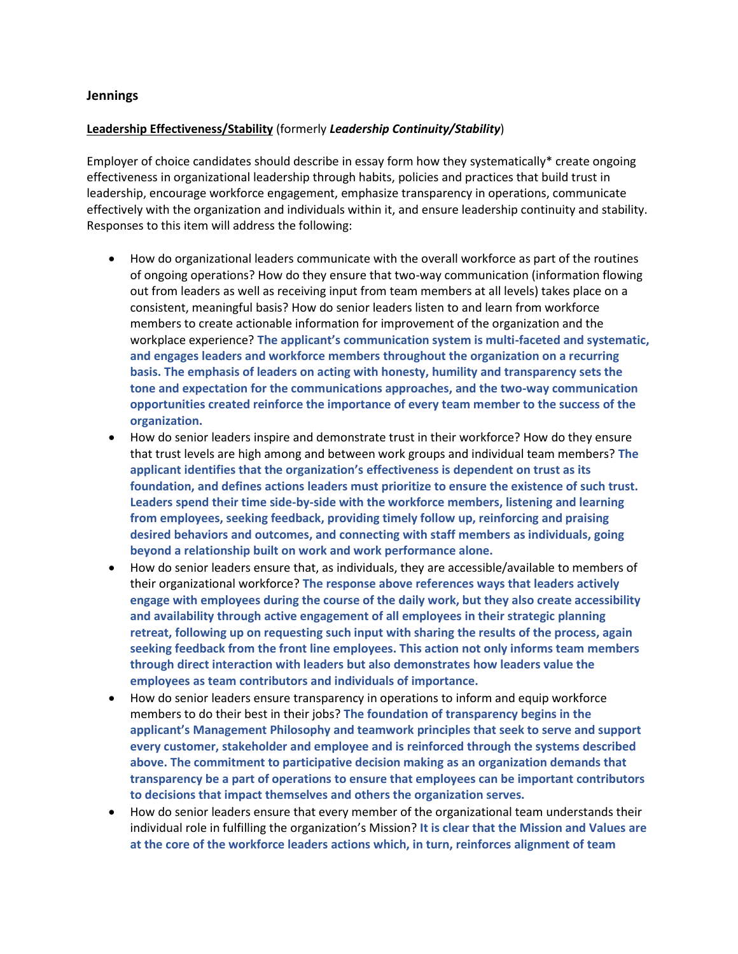## **Jennings**

## **Leadership Effectiveness/Stability** (formerly *Leadership Continuity/Stability*)

Employer of choice candidates should describe in essay form how they systematically\* create ongoing effectiveness in organizational leadership through habits, policies and practices that build trust in leadership, encourage workforce engagement, emphasize transparency in operations, communicate effectively with the organization and individuals within it, and ensure leadership continuity and stability. Responses to this item will address the following:

- How do organizational leaders communicate with the overall workforce as part of the routines of ongoing operations? How do they ensure that two-way communication (information flowing out from leaders as well as receiving input from team members at all levels) takes place on a consistent, meaningful basis? How do senior leaders listen to and learn from workforce members to create actionable information for improvement of the organization and the workplace experience? **The applicant's communication system is multi-faceted and systematic, and engages leaders and workforce members throughout the organization on a recurring basis. The emphasis of leaders on acting with honesty, humility and transparency sets the tone and expectation for the communications approaches, and the two-way communication opportunities created reinforce the importance of every team member to the success of the organization.**
- How do senior leaders inspire and demonstrate trust in their workforce? How do they ensure that trust levels are high among and between work groups and individual team members? **The applicant identifies that the organization's effectiveness is dependent on trust as its foundation, and defines actions leaders must prioritize to ensure the existence of such trust. Leaders spend their time side-by-side with the workforce members, listening and learning from employees, seeking feedback, providing timely follow up, reinforcing and praising desired behaviors and outcomes, and connecting with staff members as individuals, going beyond a relationship built on work and work performance alone.**
- How do senior leaders ensure that, as individuals, they are accessible/available to members of their organizational workforce? **The response above references ways that leaders actively engage with employees during the course of the daily work, but they also create accessibility and availability through active engagement of all employees in their strategic planning retreat, following up on requesting such input with sharing the results of the process, again seeking feedback from the front line employees. This action not only informs team members through direct interaction with leaders but also demonstrates how leaders value the employees as team contributors and individuals of importance.**
- How do senior leaders ensure transparency in operations to inform and equip workforce members to do their best in their jobs? **The foundation of transparency begins in the applicant's Management Philosophy and teamwork principles that seek to serve and support every customer, stakeholder and employee and is reinforced through the systems described above. The commitment to participative decision making as an organization demands that transparency be a part of operations to ensure that employees can be important contributors to decisions that impact themselves and others the organization serves.**
- How do senior leaders ensure that every member of the organizational team understands their individual role in fulfilling the organization's Mission? **It is clear that the Mission and Values are at the core of the workforce leaders actions which, in turn, reinforces alignment of team**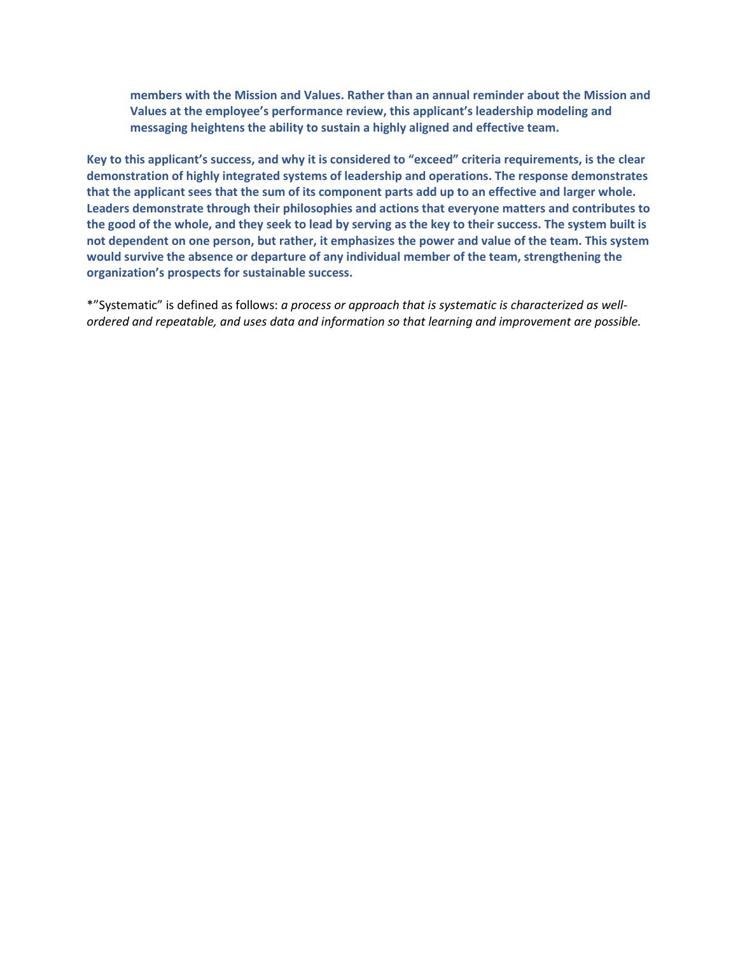**members with the Mission and Values. Rather than an annual reminder about the Mission and Values at the employee's performance review, this applicant's leadership modeling and messaging heightens the ability to sustain a highly aligned and effective team.** 

**Key to this applicant's success, and why it is considered to "exceed" criteria requirements, is the clear demonstration of highly integrated systems of leadership and operations. The response demonstrates that the applicant sees that the sum of its component parts add up to an effective and larger whole. Leaders demonstrate through their philosophies and actions that everyone matters and contributes to the good of the whole, and they seek to lead by serving as the key to their success. The system built is not dependent on one person, but rather, it emphasizes the power and value of the team. This system would survive the absence or departure of any individual member of the team, strengthening the organization's prospects for sustainable success.**

\*"Systematic" is defined as follows: *a process or approach that is systematic is characterized as wellordered and repeatable, and uses data and information so that learning and improvement are possible.*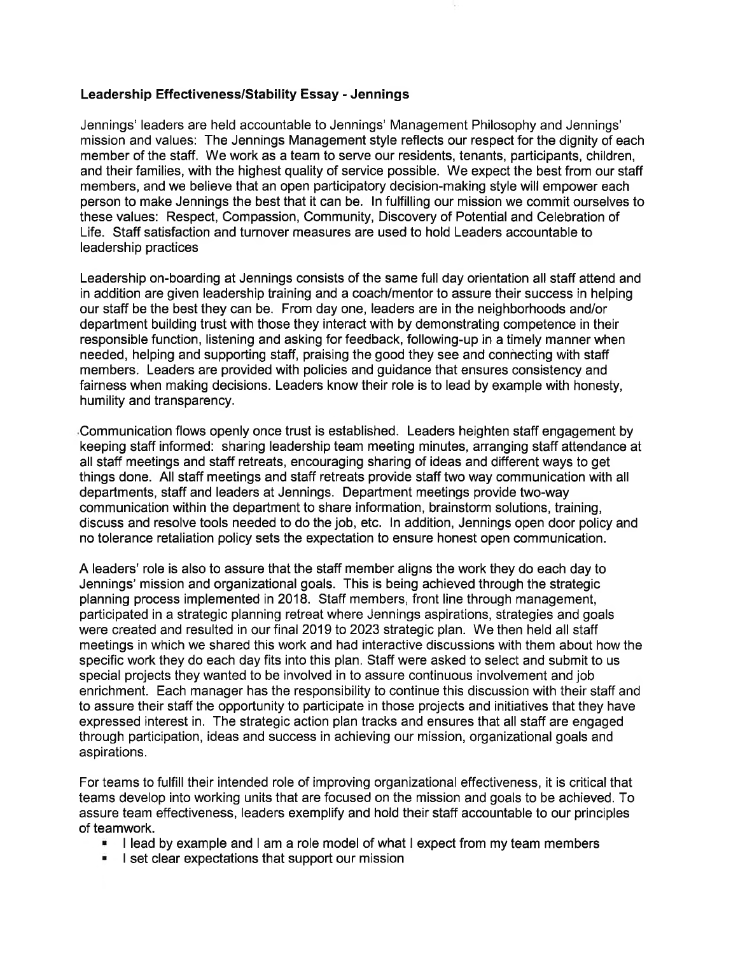## Leadership Effectiveness/Stability Essay - Jennings

Jennings' leaders are held accountable to Jennings' Management Philosophy and Jennings' mission and values: The Jennings Management style reflects our respect for the dignity of each member of the staff. We work as a team to serve our residents, tenants, participants, children, and their families, with the highest quality of service possible. We expect the best from our staff members, and we believe that an open participatory decision-making style will empower each person to make Jennings the best that it can be. In fulfilling our mission we commit ourselves to these values: Respect, Compassion, Community, Discovery of Potential and Celebration of Life. Staff satisfaction and turnover measures are used to hold Leaders accountable to leadership practices

Leadership on-boarding at Jennings consists of the same full day orientation all staff attend and in addition are given leadership training and a coach/mentor to assure their success in helping our staff be the best they can be. From day one, leaders are in the neighborhoods and/or department building trust with those they interact with by demonstrating competence in their responsible function, listening and asking for feedback, following-up in a timely manner when needed, helping and supporting staff, praising the good they see and connecting with staff members. Leaders are provided with policies and guidance that ensures consistency and fairness when making decisions. Leaders know their role is to lead by example with honesty, humility and transparency.

Communication flows openly once trust is established. Leaders heighten staff engagement by keeping staff informed: sharing leadership team meeting minutes, arranging staff attendance at all staff meetings and staff retreats, encouraging sharing of ideas and different ways to get things done. All staff meetings and staff retreats provide staff two way communication with all departments, staff and leaders at Jennings. Department meetings provide two-way communication within the department to share information, brainstorm solutions, training, discuss and resolve tools needed to do the job, etc. In addition, Jennings open door policy and no tolerance retaliation policy sets the expectation to ensure honest open communication.

A leaders' role is also to assure that the staff member aligns the work they do each day to Jennings' mission and organizational goals. This is being achieved through the strategic planning process implemented in 2018. Staff members, front line through management, participated in a strategic planning retreat where Jennings aspirations, strategies and goals were created and resulted in our final 2019 to 2023 strategic plan. We then held all staff meetings in which we shared this work and had interactive discussions with them about how the specific work they do each day fits into this plan. Staff were asked to select and submit to us special projects they wanted to be involved in to assure continuous involvement and job enrichment. Each manager has the responsibility to continue this discussion with their staff and to assure their staff the opportunity to participate in those projects and initiatives that they have expressed interest in. The strategic action plan tracks and ensures that all staff are engaged through participation, ideas and success in achieving our mission, organizational goals and aspirations.

For teams to fulfill their intended role of improving organizational effectiveness, it is critical that teams develop into working units that are focused on the mission and goals to be achieved. To assure team effectiveness, leaders exemplify and hold their staff accountable to our principles of teamwork.

- I lead by example and I am a role model of what I expect from my team members
- I set clear expectations that support our mission